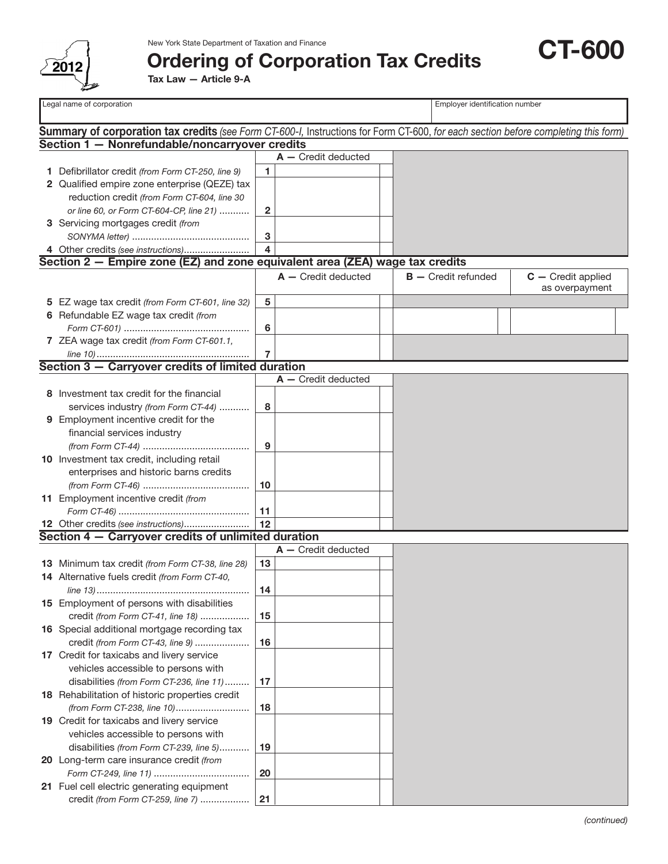

## Ordering of Corporation Tax Credits

Tax Law — Article 9-A

Legal name of corporation **Employer identification number**  $\Box$  Employer identification number

CT-600

| <b>Summary of corporation tax credits</b> (see Form CT-600-I, Instructions for Form CT-600, for each section before completing this form) |                                                                              |    |                       |  |                       |                      |
|-------------------------------------------------------------------------------------------------------------------------------------------|------------------------------------------------------------------------------|----|-----------------------|--|-----------------------|----------------------|
|                                                                                                                                           | Section 1 - Nonrefundable/noncarryover credits                               |    |                       |  |                       |                      |
|                                                                                                                                           |                                                                              |    | $A -$ Credit deducted |  |                       |                      |
|                                                                                                                                           | 1 Defibrillator credit (from Form CT-250, line 9)                            | 1  |                       |  |                       |                      |
|                                                                                                                                           | 2 Qualified empire zone enterprise (QEZE) tax                                |    |                       |  |                       |                      |
|                                                                                                                                           | reduction credit (from Form CT-604, line 30                                  |    |                       |  |                       |                      |
|                                                                                                                                           | or line 60, or Form CT-604-CP, line 21)                                      | 2  |                       |  |                       |                      |
|                                                                                                                                           | 3 Servicing mortgages credit (from                                           |    |                       |  |                       |                      |
|                                                                                                                                           |                                                                              | 3  |                       |  |                       |                      |
|                                                                                                                                           | 4 Other credits (see instructions)                                           | 4  |                       |  |                       |                      |
|                                                                                                                                           | Section 2 – Empire zone (EZ) and zone equivalent area (ZEA) wage tax credits |    |                       |  |                       |                      |
|                                                                                                                                           |                                                                              |    | $A -$ Credit deducted |  | $B -$ Credit refunded | $C -$ Credit applied |
|                                                                                                                                           |                                                                              |    |                       |  |                       | as overpayment       |
|                                                                                                                                           | 5 EZ wage tax credit (from Form CT-601, line 32)                             | 5  |                       |  |                       |                      |
|                                                                                                                                           | 6 Refundable EZ wage tax credit (from                                        |    |                       |  |                       |                      |
|                                                                                                                                           |                                                                              | 6  |                       |  |                       |                      |
|                                                                                                                                           | 7 ZEA wage tax credit (from Form CT-601.1,                                   |    |                       |  |                       |                      |
|                                                                                                                                           |                                                                              | 7  |                       |  |                       |                      |
|                                                                                                                                           | Section 3 - Carryover credits of limited duration                            |    |                       |  |                       |                      |
|                                                                                                                                           |                                                                              |    | $A -$ Credit deducted |  |                       |                      |
|                                                                                                                                           | 8 Investment tax credit for the financial                                    |    |                       |  |                       |                      |
|                                                                                                                                           | services industry (from Form CT-44)                                          | 8  |                       |  |                       |                      |
|                                                                                                                                           | 9 Employment incentive credit for the                                        |    |                       |  |                       |                      |
|                                                                                                                                           |                                                                              |    |                       |  |                       |                      |
|                                                                                                                                           | financial services industry                                                  |    |                       |  |                       |                      |
|                                                                                                                                           |                                                                              | 9  |                       |  |                       |                      |
|                                                                                                                                           | 10 Investment tax credit, including retail                                   |    |                       |  |                       |                      |
|                                                                                                                                           | enterprises and historic barns credits                                       |    |                       |  |                       |                      |
|                                                                                                                                           |                                                                              | 10 |                       |  |                       |                      |
|                                                                                                                                           | 11 Employment incentive credit (from                                         |    |                       |  |                       |                      |
|                                                                                                                                           |                                                                              | 11 |                       |  |                       |                      |
|                                                                                                                                           | 12 Other credits (see instructions)                                          | 12 |                       |  |                       |                      |
|                                                                                                                                           | Section 4 - Carryover credits of unlimited duration                          |    |                       |  |                       |                      |
|                                                                                                                                           |                                                                              |    | $A -$ Credit deducted |  |                       |                      |
|                                                                                                                                           | 13 Minimum tax credit (from Form CT-38, line 28)                             | 13 |                       |  |                       |                      |
|                                                                                                                                           | 14 Alternative fuels credit (from Form CT-40,                                |    |                       |  |                       |                      |
|                                                                                                                                           |                                                                              | 14 |                       |  |                       |                      |
|                                                                                                                                           | 15 Employment of persons with disabilities                                   |    |                       |  |                       |                      |
|                                                                                                                                           | credit (from Form CT-41, line 18)                                            | 15 |                       |  |                       |                      |
|                                                                                                                                           | 16 Special additional mortgage recording tax                                 |    |                       |  |                       |                      |
|                                                                                                                                           | credit (from Form CT-43, line 9)                                             | 16 |                       |  |                       |                      |
|                                                                                                                                           | 17 Credit for taxicabs and livery service                                    |    |                       |  |                       |                      |
|                                                                                                                                           | vehicles accessible to persons with                                          |    |                       |  |                       |                      |
|                                                                                                                                           | disabilities (from Form CT-236, line 11)                                     | 17 |                       |  |                       |                      |
|                                                                                                                                           | 18 Rehabilitation of historic properties credit                              |    |                       |  |                       |                      |
|                                                                                                                                           | (from Form CT-238, line 10)                                                  | 18 |                       |  |                       |                      |
|                                                                                                                                           | 19 Credit for taxicabs and livery service                                    |    |                       |  |                       |                      |
|                                                                                                                                           | vehicles accessible to persons with                                          |    |                       |  |                       |                      |
|                                                                                                                                           | disabilities (from Form CT-239, line 5)                                      | 19 |                       |  |                       |                      |
|                                                                                                                                           | 20 Long-term care insurance credit (from                                     |    |                       |  |                       |                      |
|                                                                                                                                           |                                                                              | 20 |                       |  |                       |                      |
|                                                                                                                                           | 21 Fuel cell electric generating equipment                                   |    |                       |  |                       |                      |
|                                                                                                                                           | credit (from Form CT-259, line 7)                                            | 21 |                       |  |                       |                      |
|                                                                                                                                           |                                                                              |    |                       |  |                       |                      |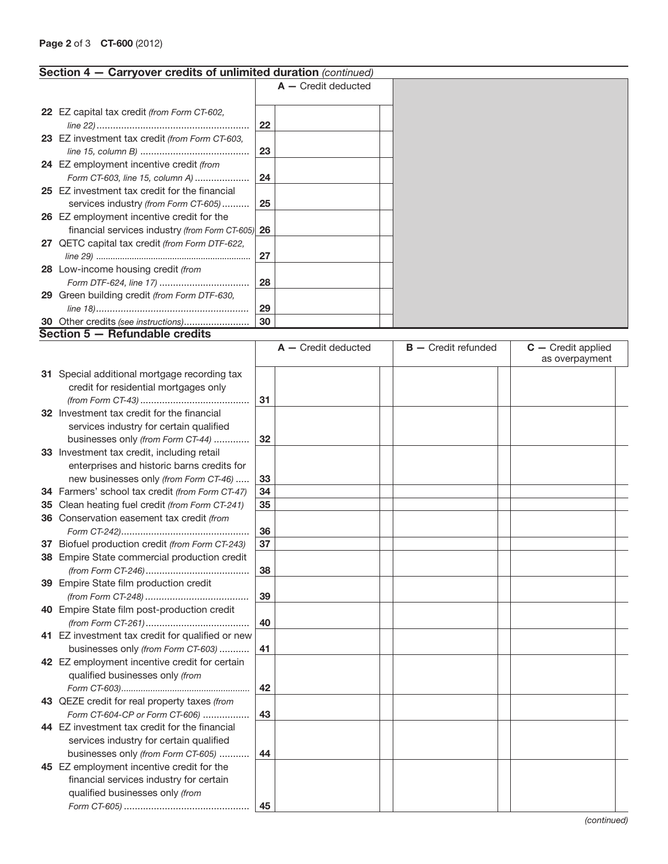## Page 2 of 3 **CT-600** (2012)

| Section 4 - Carryover credits of unlimited duration (continued) |    |                       |                       |                      |
|-----------------------------------------------------------------|----|-----------------------|-----------------------|----------------------|
|                                                                 |    | $A -$ Credit deducted |                       |                      |
|                                                                 |    |                       |                       |                      |
| 22 EZ capital tax credit (from Form CT-602,                     |    |                       |                       |                      |
|                                                                 | 22 |                       |                       |                      |
| 23 EZ investment tax credit (from Form CT-603,                  |    |                       |                       |                      |
|                                                                 | 23 |                       |                       |                      |
| 24 EZ employment incentive credit (from                         |    |                       |                       |                      |
| Form CT-603, line 15, column A)                                 | 24 |                       |                       |                      |
| 25 EZ investment tax credit for the financial                   |    |                       |                       |                      |
| services industry (from Form CT-605)                            | 25 |                       |                       |                      |
| 26 EZ employment incentive credit for the                       |    |                       |                       |                      |
| financial services industry (from Form CT-605) 26               |    |                       |                       |                      |
| 27 QETC capital tax credit (from Form DTF-622,                  |    |                       |                       |                      |
|                                                                 | 27 |                       |                       |                      |
| 28 Low-income housing credit (from                              |    |                       |                       |                      |
|                                                                 | 28 |                       |                       |                      |
| 29 Green building credit (from Form DTF-630,                    |    |                       |                       |                      |
|                                                                 | 29 |                       |                       |                      |
| 30 Other credits (see instructions)                             | 30 |                       |                       |                      |
| Section 5 - Refundable credits                                  |    |                       |                       |                      |
|                                                                 |    | $A -$ Credit deducted | $B -$ Credit refunded | $C -$ Credit applied |
|                                                                 |    |                       |                       | as overpayment       |
| 31 Special additional mortgage recording tax                    |    |                       |                       |                      |
| credit for residential mortgages only                           |    |                       |                       |                      |
|                                                                 | 31 |                       |                       |                      |
| 32 Investment tax credit for the financial                      |    |                       |                       |                      |
| services industry for certain qualified                         |    |                       |                       |                      |
| businesses only (from Form CT-44)                               | 32 |                       |                       |                      |
| 33 Investment tax credit, including retail                      |    |                       |                       |                      |
| enterprises and historic barns credits for                      |    |                       |                       |                      |
| new businesses only (from Form CT-46)                           | 33 |                       |                       |                      |
| 34 Farmers' school tax credit (from Form CT-47)                 | 34 |                       |                       |                      |
| 35 Clean heating fuel credit (from Form CT-241)                 | 35 |                       |                       |                      |
| 36 Conservation easement tax credit (from                       |    |                       |                       |                      |
|                                                                 | 36 |                       |                       |                      |
| 37 Biofuel production credit (from Form CT-243)                 | 37 |                       |                       |                      |
| 38 Empire State commercial production credit                    |    |                       |                       |                      |
|                                                                 | 38 |                       |                       |                      |
| 39 Empire State film production credit                          |    |                       |                       |                      |
|                                                                 | 39 |                       |                       |                      |
| 40 Empire State film post-production credit                     |    |                       |                       |                      |
|                                                                 | 40 |                       |                       |                      |
| 41 EZ investment tax credit for qualified or new                |    |                       |                       |                      |
| businesses only (from Form CT-603)                              | 41 |                       |                       |                      |
| 42 EZ employment incentive credit for certain                   |    |                       |                       |                      |
| qualified businesses only (from                                 |    |                       |                       |                      |
|                                                                 | 42 |                       |                       |                      |
| 43 QEZE credit for real property taxes (from                    |    |                       |                       |                      |
| Form CT-604-CP or Form CT-606)                                  | 43 |                       |                       |                      |
| 44 EZ investment tax credit for the financial                   |    |                       |                       |                      |
| services industry for certain qualified                         |    |                       |                       |                      |
| businesses only (from Form CT-605)                              | 44 |                       |                       |                      |
| 45 EZ employment incentive credit for the                       |    |                       |                       |                      |
| financial services industry for certain                         |    |                       |                       |                      |
| qualified businesses only (from                                 |    |                       |                       |                      |
|                                                                 | 45 |                       |                       |                      |